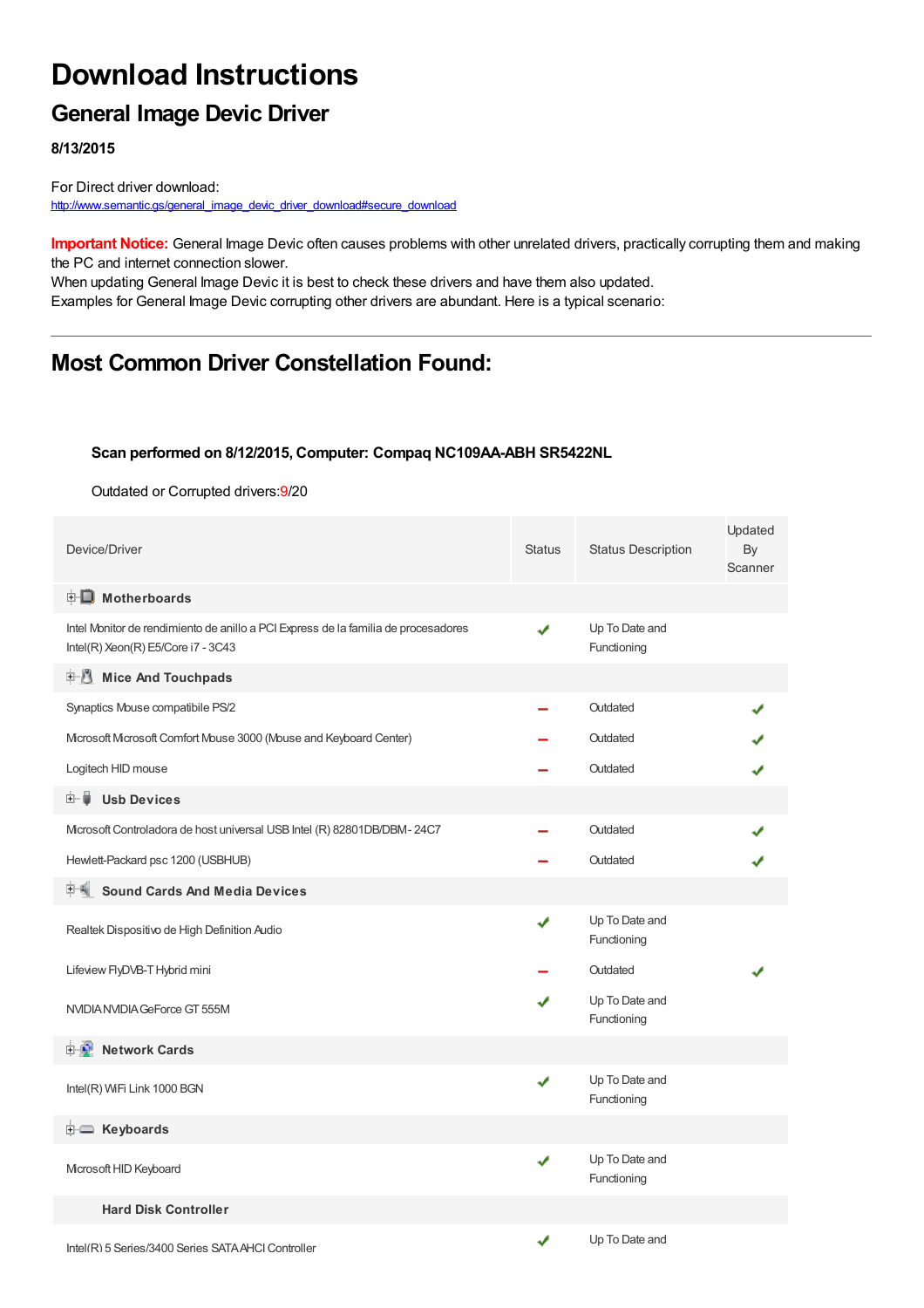# **Download Instructions**

### **General Image Devic Driver**

**8/13/2015**

For Direct driver download: [http://www.semantic.gs/general\\_image\\_devic\\_driver\\_download#secure\\_download](http://www.semantic.gs/general_image_devic_driver_download#secure_download)

**Important Notice:** General Image Devic often causes problems with other unrelated drivers, practically corrupting them and making the PC and internet connection slower.

When updating General Image Devic it is best to check these drivers and have them also updated. Examples for General Image Devic corrupting other drivers are abundant. Here is a typical scenario:

## **Most Common Driver Constellation Found:**

#### **Scan performed on 8/12/2015, Computer: Compaq NC109AA-ABH SR5422NL**

Outdated or Corrupted drivers:9/20

| Device/Driver                                                                                                            | <b>Status</b> | <b>Status Description</b>     | Updated<br>By<br>Scanner |
|--------------------------------------------------------------------------------------------------------------------------|---------------|-------------------------------|--------------------------|
| <b>E</b> Motherboards                                                                                                    |               |                               |                          |
| Intel Monitor de rendimiento de anillo a PCI Express de la familia de procesadores<br>Intel(R) Xeon(R) E5/Core i7 - 3C43 | ✔             | Up To Date and<br>Functioning |                          |
| <b>E</b> Mice And Touchpads                                                                                              |               |                               |                          |
| Synaptics Mouse compatibile PS/2                                                                                         |               | Outdated                      |                          |
| Mcrosoft Mcrosoft Comfort Mouse 3000 (Mouse and Keyboard Center)                                                         |               | Outdated                      |                          |
| Logitech HID mouse                                                                                                       |               | Outdated                      |                          |
| 田一篇<br><b>Usb Devices</b>                                                                                                |               |                               |                          |
| Mcrosoft Controladora de host universal USB Intel (R) 82801DB/DBM-24C7                                                   |               | Outdated                      |                          |
| Hewlett-Packard psc 1200 (USBHUB)                                                                                        |               | Outdated                      |                          |
| <b>Sound Cards And Media Devices</b>                                                                                     |               |                               |                          |
| Realtek Dispositivo de High Definition Audio                                                                             | ✔             | Up To Date and<br>Functioning |                          |
| Lifeview FlyDVB-T Hybrid mini                                                                                            |               | Outdated                      |                          |
| NVIDIA NVIDIA GeForce GT 555M                                                                                            | J             | Up To Date and<br>Functioning |                          |
| <b>E</b> Network Cards                                                                                                   |               |                               |                          |
| Intel(R) WiFi Link 1000 BGN                                                                                              | ✔             | Up To Date and<br>Functioning |                          |
| E Keyboards                                                                                                              |               |                               |                          |
| Microsoft HID Keyboard                                                                                                   | ✔             | Up To Date and<br>Functioning |                          |
| <b>Hard Disk Controller</b>                                                                                              |               |                               |                          |
| Intel(R) 5 Series/3400 Series SATA AHCI Controller                                                                       | ✔             | Up To Date and                |                          |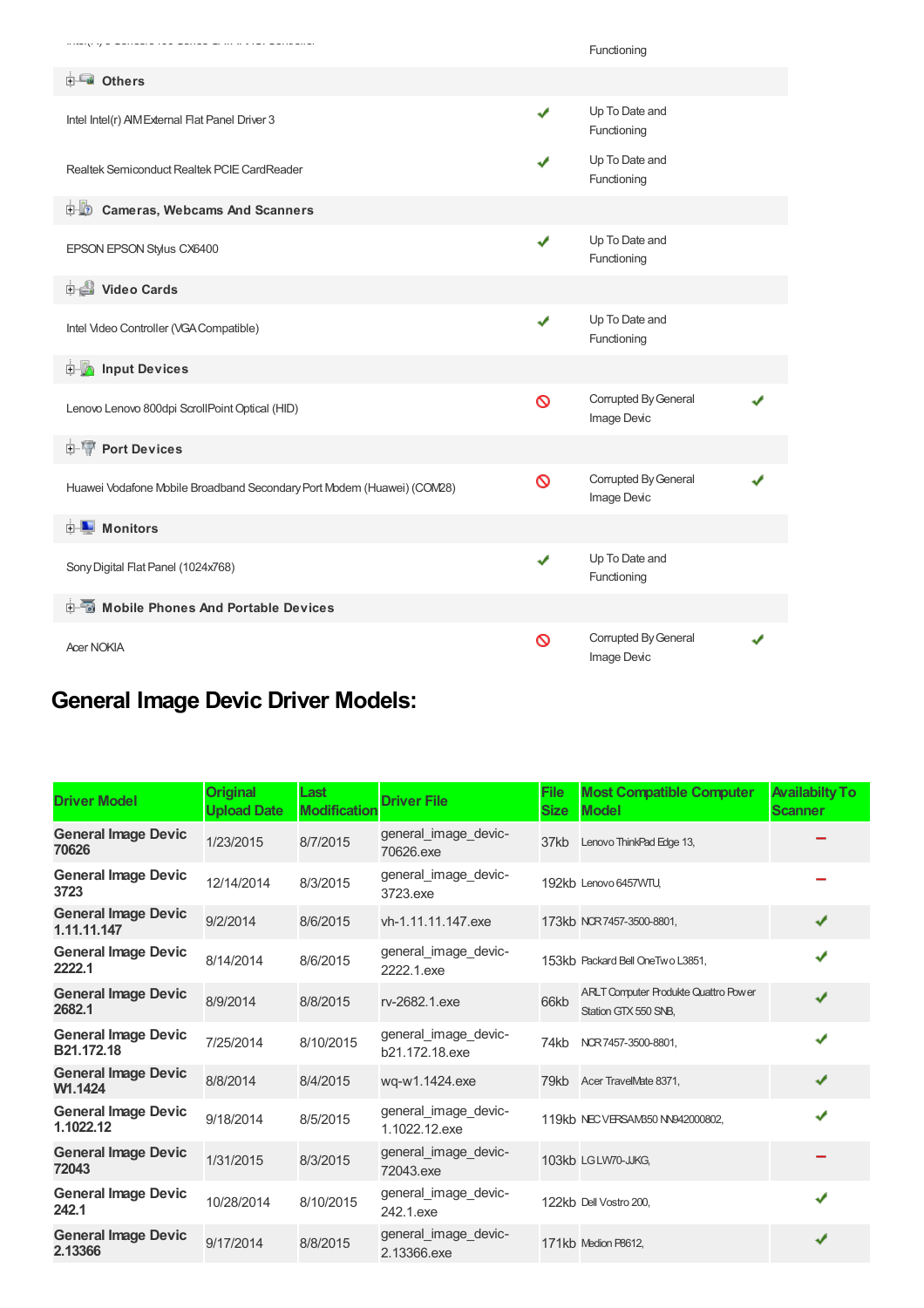|                                                                        |   | Functioning                         |  |
|------------------------------------------------------------------------|---|-------------------------------------|--|
| <b>E</b> Others                                                        |   |                                     |  |
| Intel Intel(r) AIM External Flat Panel Driver 3                        | ✔ | Up To Date and<br>Functioning       |  |
| Realtek Semiconduct Realtek PCIE CardReader                            |   | Up To Date and<br>Functioning       |  |
| <b>D</b> Cameras, Webcams And Scanners                                 |   |                                     |  |
| EPSON EPSON Stylus CX6400                                              | ✔ | Up To Date and<br>Functioning       |  |
| Video Cards                                                            |   |                                     |  |
| Intel Video Controller (VGA Compatible)                                | ✔ | Up To Date and<br>Functioning       |  |
| <b>E</b> Input Devices                                                 |   |                                     |  |
| Lenovo Lenovo 800dpi ScrollPoint Optical (HID)                         | Ø | Corrupted By General<br>Image Devic |  |
| <b>E-</b> Port Devices                                                 |   |                                     |  |
| Huawei Vodafone Mobile Broadband Secondary Port Modem (Huawei) (COM28) | Ø | Corrupted By General<br>Image Devic |  |
| <b>E</b> Monitors                                                      |   |                                     |  |
| Sony Digital Flat Panel (1024x768)                                     | ✔ | Up To Date and<br>Functioning       |  |
| <b>E-6</b> Mobile Phones And Portable Devices                          |   |                                     |  |
| <b>Acer NOKIA</b>                                                      | Ø | Corrupted By General<br>Image Devic |  |

## **General Image Devic Driver Models:**

| <b>Driver Model</b>                       | <b>Original</b><br><b>Upload Date</b> | Last<br><b>Modification</b> | <b>Driver File</b>                     | <b>File</b><br><b>Size</b> | <b>Most Compatible Computer</b><br><b>Model</b>                     | <b>Availabilty To</b><br><b>Scanner</b> |
|-------------------------------------------|---------------------------------------|-----------------------------|----------------------------------------|----------------------------|---------------------------------------------------------------------|-----------------------------------------|
| <b>General Image Devic</b><br>70626       | 1/23/2015                             | 8/7/2015                    | general_image_devic-<br>70626.exe      | 37kb                       | Lenovo ThinkPad Edge 13,                                            |                                         |
| <b>General Image Devic</b><br>3723        | 12/14/2014                            | 8/3/2015                    | general_image_devic-<br>3723.exe       |                            | 192kb Lenovo 6457WTU,                                               |                                         |
| <b>General Image Devic</b><br>1.11.11.147 | 9/2/2014                              | 8/6/2015                    | vh-1.11.11.147.exe                     |                            | 173kb NCR7457-3500-8801,                                            | ✔                                       |
| <b>General Image Devic</b><br>2222.1      | 8/14/2014                             | 8/6/2015                    | general_image_devic-<br>2222.1.exe     |                            | 153kb Packard Bell OneTwo L3851,                                    | ✔                                       |
| <b>General Image Devic</b><br>2682.1      | 8/9/2014                              | 8/8/2015                    | rv-2682.1.exe                          | 66kb                       | <b>ARLT Computer Produkte Quattro Power</b><br>Station GTX 550 SNB. | ✔                                       |
| <b>General Image Devic</b><br>B21.172.18  | 7/25/2014                             | 8/10/2015                   | general_image_devic-<br>b21.172.18.exe | 74kb                       | NCR 7457-3500-8801,                                                 |                                         |
| <b>General Image Devic</b><br>W1.1424     | 8/8/2014                              | 8/4/2015                    | wg-w1.1424.exe                         |                            | 79kb Acer TravelMate 8371,                                          | ✔                                       |
| <b>General Image Devic</b><br>1.1022.12   | 9/18/2014                             | 8/5/2015                    | general_image_devic-<br>1.1022.12.exe  |                            | 119kb NEC VERSAM350 NN942000802,                                    | J                                       |
| <b>General Image Devic</b><br>72043       | 1/31/2015                             | 8/3/2015                    | general_image_devic-<br>72043.exe      |                            | 103kb LGLW70-JJKG,                                                  |                                         |
| <b>General Image Devic</b><br>242.1       | 10/28/2014                            | 8/10/2015                   | general_image_devic-<br>242.1.exe      |                            | 122kb Dell Vostro 200.                                              | ✔                                       |
| <b>General Image Devic</b><br>2.13366     | 9/17/2014                             | 8/8/2015                    | general image devic-<br>2.13366.exe    |                            | 171kb Medion P8612.                                                 | ✔                                       |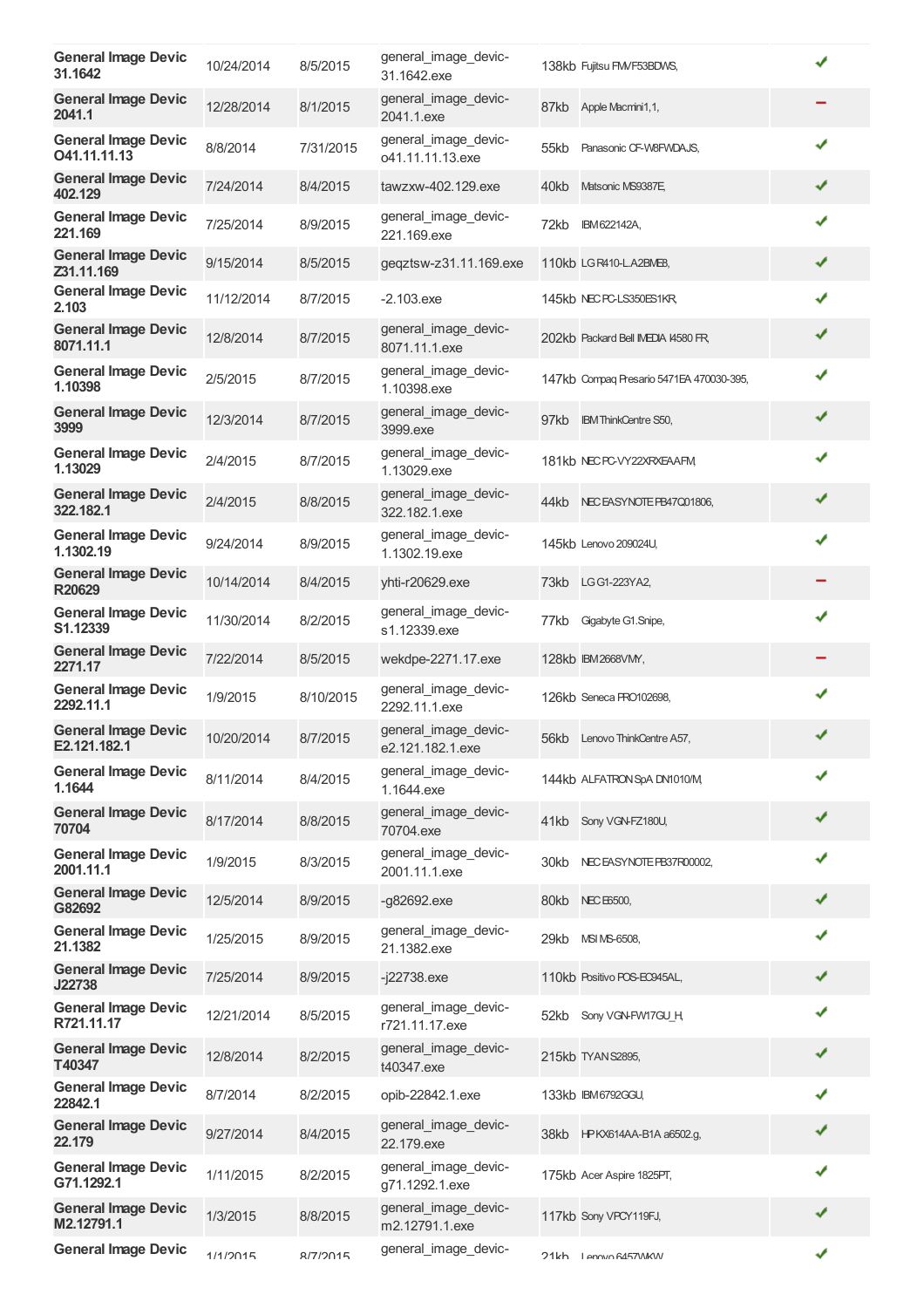| <b>General Image Devic</b><br>31.1642      | 10/24/2014 | 8/5/2015  | general_image_devic-<br>31.1642.exe      |      | 138kb Fujitsu FM/F53BDWS,                |   |
|--------------------------------------------|------------|-----------|------------------------------------------|------|------------------------------------------|---|
| <b>General Image Devic</b><br>2041.1       | 12/28/2014 | 8/1/2015  | general_image_devic-<br>2041.1.exe       | 87kb | Apple Macmini1,1,                        |   |
| <b>General Image Devic</b><br>O41.11.11.13 | 8/8/2014   | 7/31/2015 | general_image_devic-<br>o41.11.11.13.exe | 55kb | Panasonic CF-W8FWDAJS,                   | ✔ |
| <b>General Image Devic</b><br>402.129      | 7/24/2014  | 8/4/2015  | tawzxw-402.129.exe                       | 40kb | Matsonic MS9387E                         | ✔ |
| <b>General Image Devic</b><br>221.169      | 7/25/2014  | 8/9/2015  | general_image_devic-<br>221.169.exe      | 72kb | IBM622142A,                              | ✔ |
| <b>General Image Devic</b><br>Z31.11.169   | 9/15/2014  | 8/5/2015  | geqztsw-z31.11.169.exe                   |      | 110kb LG R410-L.A2BME8,                  | ✔ |
| <b>General Image Devic</b><br>2.103        | 11/12/2014 | 8/7/2015  | $-2.103$ .exe                            |      | 145kb NEC PC-LS350ES1KR                  | ✔ |
| <b>General Image Devic</b><br>8071.11.1    | 12/8/2014  | 8/7/2015  | general_image_devic-<br>8071.11.1.exe    |      | 202kb Packard Bell IMEDIA 14580 FR,      | ✔ |
| <b>General Image Devic</b><br>1.10398      | 2/5/2015   | 8/7/2015  | general image devic-<br>1.10398.exe      |      | 147kb Compaq Presario 5471EA 470030-395, | ✔ |
| <b>General Image Devic</b><br>3999         | 12/3/2014  | 8/7/2015  | general_image_devic-<br>3999.exe         | 97kb | <b>IBM ThinkCentre S50,</b>              | ✔ |
| <b>General Image Devic</b><br>1.13029      | 2/4/2015   | 8/7/2015  | general image devic-<br>1.13029.exe      |      | 181kb NEC PC-VY22XRXEAAFM,               | ✔ |
| <b>General Image Devic</b><br>322.182.1    | 2/4/2015   | 8/8/2015  | general image devic-<br>322.182.1.exe    |      | 44kb NECEASYNOTE PB47Q01806,             | ✔ |
| <b>General Image Devic</b><br>1.1302.19    | 9/24/2014  | 8/9/2015  | general_image_devic-<br>1.1302.19.exe    |      | 145kb Lenovo 209024U,                    | ✔ |
| <b>General Image Devic</b><br>R20629       | 10/14/2014 | 8/4/2015  | yhti-r20629.exe                          | 73kb | LG G1-223YA2,                            |   |
| <b>General Image Devic</b><br>S1.12339     | 11/30/2014 | 8/2/2015  | general_image_devic-<br>s1.12339.exe     | 77kb | Gigabyte G1.Snipe,                       | ✔ |
| <b>General Image Devic</b><br>2271.17      | 7/22/2014  | 8/5/2015  | wekdpe-2271.17.exe                       |      | 128kb IBM2668VM,                         |   |
| <b>General Image Devic</b><br>2292.11.1    | 1/9/2015   | 8/10/2015 | general image devic-<br>2292.11.1.exe    |      | 126kb Seneca PRO102698,                  | ✔ |
| <b>General Image Devic</b><br>E2.121.182.1 | 10/20/2014 | 8/7/2015  | general_image_devic-<br>e2.121.182.1.exe |      | 56kb Lenovo ThinkCentre A57,             |   |
| <b>General Image Devic</b><br>1.1644       | 8/11/2014  | 8/4/2015  | general image devic-<br>1.1644.exe       |      | 144kb ALFATRON SpA DN1010/M,             | ✔ |
| <b>General Image Devic</b><br>70704        | 8/17/2014  | 8/8/2015  | general_image_devic-<br>70704.exe        | 41kb | Sony VGN-FZ180U,                         | ✔ |
| <b>General Image Devic</b><br>2001.11.1    | 1/9/2015   | 8/3/2015  | general image devic-<br>2001.11.1.exe    | 30kb | NEC EASYNOTE PB37R00002,                 | ✔ |
| <b>General Image Devic</b><br>G82692       | 12/5/2014  | 8/9/2015  | $-g82692.\nexe$                          | 80kb | <b>NEC E6500,</b>                        | ✔ |
| <b>General Image Devic</b><br>21.1382      | 1/25/2015  | 8/9/2015  | general_image_devic-<br>21.1382.exe      | 29kb | MSI MS-6508,                             | ✔ |
| <b>General Image Devic</b><br>J22738       | 7/25/2014  | 8/9/2015  | $-i22738$ .exe                           |      | 110kb Positivo POS-EC945AL,              | ✔ |
| <b>General Image Devic</b><br>R721.11.17   | 12/21/2014 | 8/5/2015  | general_image_devic-<br>r721.11.17.exe   |      | 52kb Sony VGN-FW17GU H,                  | ✔ |
| <b>General Image Devic</b><br>T40347       | 12/8/2014  | 8/2/2015  | general_image_devic-<br>t40347.exe       |      | 215kb TYAN S2895,                        |   |
| <b>General Image Devic</b><br>22842.1      | 8/7/2014   | 8/2/2015  | opib-22842.1.exe                         |      | 133kb IBM6792GGU,                        | ✔ |
| <b>General Image Devic</b><br>22.179       | 9/27/2014  | 8/4/2015  | general_image_devic-<br>22.179.exe       |      | 38kb HPKX614AA-B1A a6502.g,              | ✔ |
| <b>General Image Devic</b><br>G71.1292.1   | 1/11/2015  | 8/2/2015  | general_image_devic-<br>g71.1292.1.exe   |      | 175kb Acer Aspire 1825PT,                | ✔ |
| <b>General Image Devic</b><br>M2.12791.1   | 1/3/2015   | 8/8/2015  | general_image_devic-<br>m2.12791.1.exe   |      | 117kb Sony VPCY119FJ,                    | ✔ |
| <b>General Image Devic</b>                 | 1/1/2015   | R/7/9015  | general_image_devic-                     |      | 71kh I ANVO RA57\NK\N                    | ✔ |